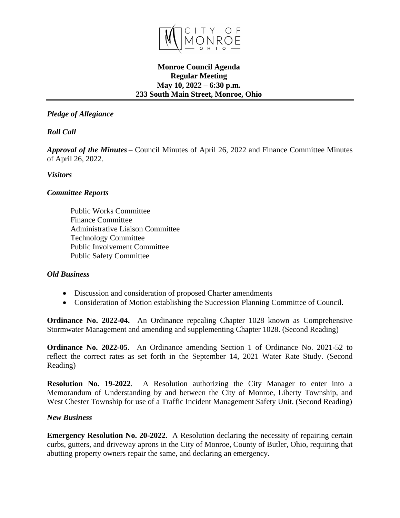

### **Monroe Council Agenda Regular Meeting May 10, 2022 – 6:30 p.m. 233 South Main Street, Monroe, Ohio**

# *Pledge of Allegiance*

*Roll Call*

*Approval of the Minutes* – Council Minutes of April 26, 2022 and Finance Committee Minutes of April 26, 2022.

## *Visitors*

## *Committee Reports*

Public Works Committee Finance Committee Administrative Liaison Committee Technology Committee Public Involvement Committee Public Safety Committee

#### *Old Business*

- Discussion and consideration of proposed Charter amendments
- Consideration of Motion establishing the Succession Planning Committee of Council.

**Ordinance No. 2022-04.** An Ordinance repealing Chapter 1028 known as Comprehensive Stormwater Management and amending and supplementing Chapter 1028. (Second Reading)

**Ordinance No. 2022-05**. An Ordinance amending Section 1 of Ordinance No. 2021-52 to reflect the correct rates as set forth in the September 14, 2021 Water Rate Study. (Second Reading)

**Resolution No. 19-2022**. A Resolution authorizing the City Manager to enter into a Memorandum of Understanding by and between the City of Monroe, Liberty Township, and West Chester Township for use of a Traffic Incident Management Safety Unit. (Second Reading)

#### *New Business*

**Emergency Resolution No. 20-2022**. A Resolution declaring the necessity of repairing certain curbs, gutters, and driveway aprons in the City of Monroe, County of Butler, Ohio, requiring that abutting property owners repair the same, and declaring an emergency.